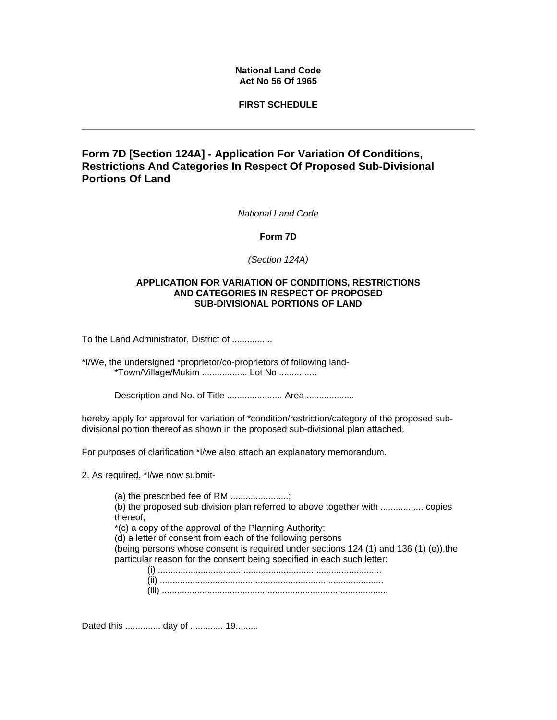## **National Land Code Act No 56 Of 1965**

## **FIRST SCHEDULE**

# **Form 7D [Section 124A] - Application For Variation Of Conditions, Restrictions And Categories In Respect Of Proposed Sub-Divisional Portions Of Land**

*National Land Code*

#### **Form 7D**

*(Section 124A)*

### **APPLICATION FOR VARIATION OF CONDITIONS, RESTRICTIONS AND CATEGORIES IN RESPECT OF PROPOSED SUB-DIVISIONAL PORTIONS OF LAND**

To the Land Administrator, District of ................

\*I/We, the undersigned \*proprietor/co-proprietors of following land- \*Town/Village/Mukim .................. Lot No ...............

Description and No. of Title ..................... Area ...................

hereby apply for approval for variation of \*condition/restriction/category of the proposed subdivisional portion thereof as shown in the proposed sub-divisional plan attached.

For purposes of clarification \*I/we also attach an explanatory memorandum.

2. As required, \*I/we now submit-

(a) the prescribed fee of RM .......................; (b) the proposed sub division plan referred to above together with ................. copies thereof; \*(c) a copy of the approval of the Planning Authority; (d) a letter of consent from each of the following persons (being persons whose consent is required under sections 124 (1) and 136 (1) (e)),the particular reason for the consent being specified in each such letter:

(i) ......................................................................................... (ii) ......................................................................................... (iii) ..........................................................................................

Dated this .............. day of ............. 19.........